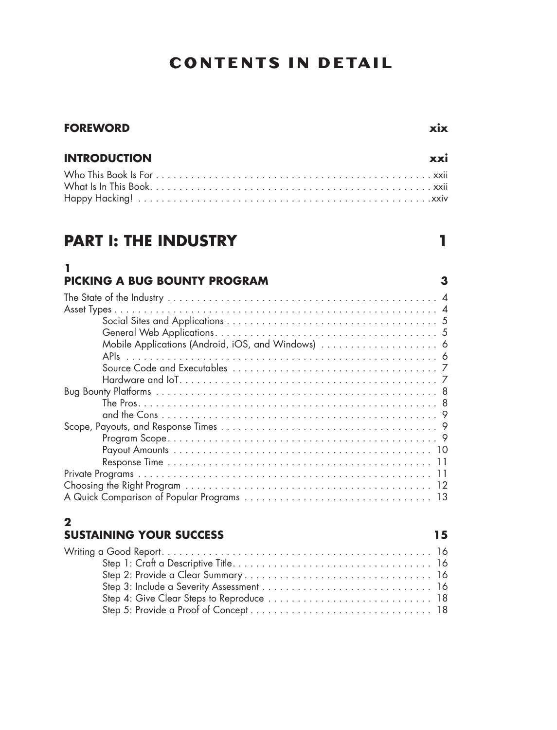# **CONTENTS IN DETAIL**

## **INTRODUCTION xxi**

# **PART I: THE INDUSTRY 1**

### **1 PICKING A BUG BOUNTY PROGRAM 3**

# **2**

### **SUSTAINING YOUR SUCCESS 15** Writing a Good Report . . . . . . . . . . . . . . . . . . . . . . . . . . . . . . . . . . . . . . . . . . . . . . 16 Step 1: Craft a Descriptive Title . . . . . . . . . . . . . . . . . . . . . . . . . . . . . . . . . . 16 Step 2: Provide a Clear Summary . . . . . . . . . . . . . . . . . . . . . . . . . . . . . . . . 16 Step 3: Include a Severity Assessment . . . . . . . . . . . . . . . . . . . . . . . . . . . . . 16 Step 4: Give Clear Steps to Reproduce . . . . . . . . . . . . . . . . . . . . . . . . . . . . 18 Step 5: Provide a Proof of Concept . . . . . . . . . . . . . . . . . . . . . . . . . . . . . . . 18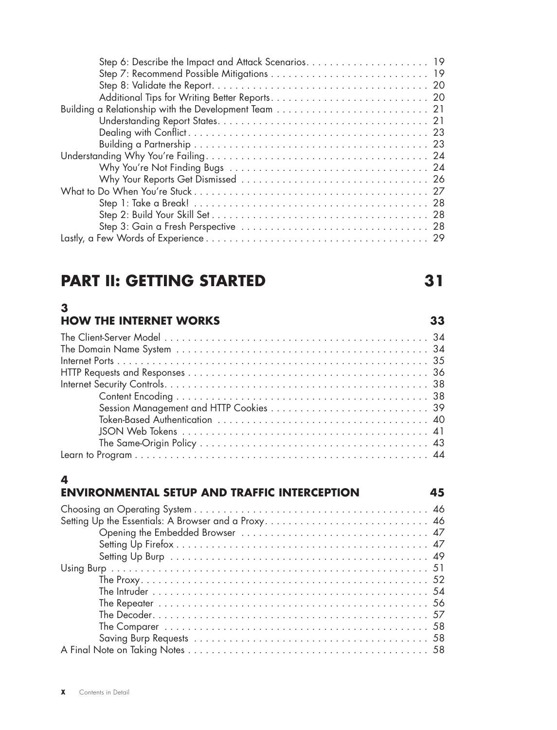# **PART II: GETTING STARTED 31**

# **3**

## **HOW THE INTERNET WORKS 33**

## **4**

## **ENVIRONMENTAL SETUP AND TRAFFIC INTERCEPTION 45**

| Setting Up the Essentials: A Browser and a Proxy 46 |
|-----------------------------------------------------|
|                                                     |
|                                                     |
|                                                     |
|                                                     |
|                                                     |
|                                                     |
|                                                     |
|                                                     |
|                                                     |
|                                                     |
|                                                     |
|                                                     |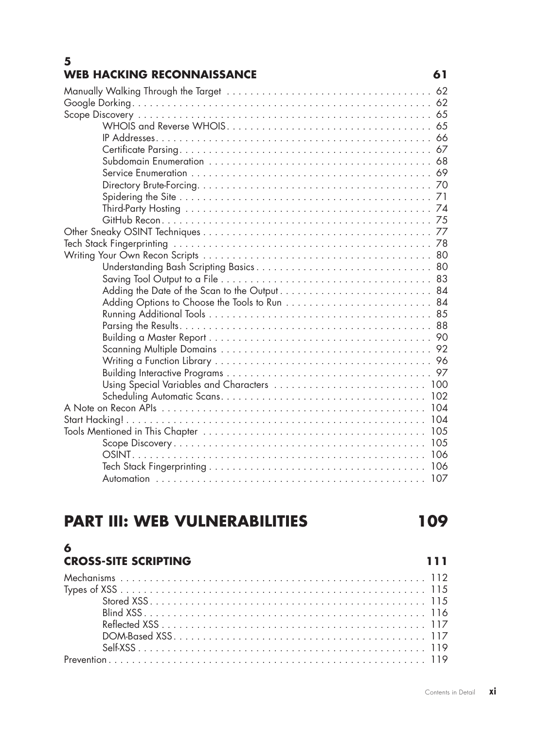### **5 WEB HACKING RECONNAISSANCE 61**

| <b>PART III: WEB VULNERABILITIES</b> | 109 |
|--------------------------------------|-----|
| 6<br><b>CROSS-SITE SCRIPTING</b>     | 111 |
|                                      |     |

| Adding the Date of the Scan to the Output 84 |  |
|----------------------------------------------|--|
|                                              |  |
|                                              |  |
|                                              |  |
|                                              |  |
|                                              |  |
|                                              |  |
|                                              |  |
| Using Special Variables and Characters  100  |  |
|                                              |  |
|                                              |  |
|                                              |  |
|                                              |  |
|                                              |  |
|                                              |  |
|                                              |  |
|                                              |  |
|                                              |  |

# **PART III: WEB VULNERA**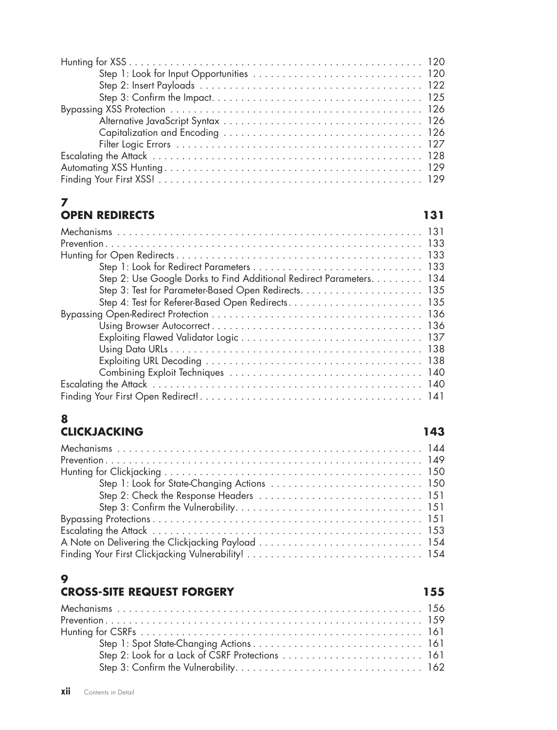# **7**

## **OPEN REDIRECTS 131**

| Step 2: Use Google Dorks to Find Additional Redirect Parameters. 134 |
|----------------------------------------------------------------------|
|                                                                      |
|                                                                      |
|                                                                      |
|                                                                      |
|                                                                      |
|                                                                      |
|                                                                      |
|                                                                      |
|                                                                      |
|                                                                      |
|                                                                      |

### **8 CLICKJACKING 143**

| Step 1: Look for State-Changing Actions  150 |  |
|----------------------------------------------|--|
|                                              |  |
|                                              |  |
|                                              |  |
|                                              |  |
|                                              |  |
|                                              |  |

# **9**

# **CROSS-SITE REQUEST FORGERY 155**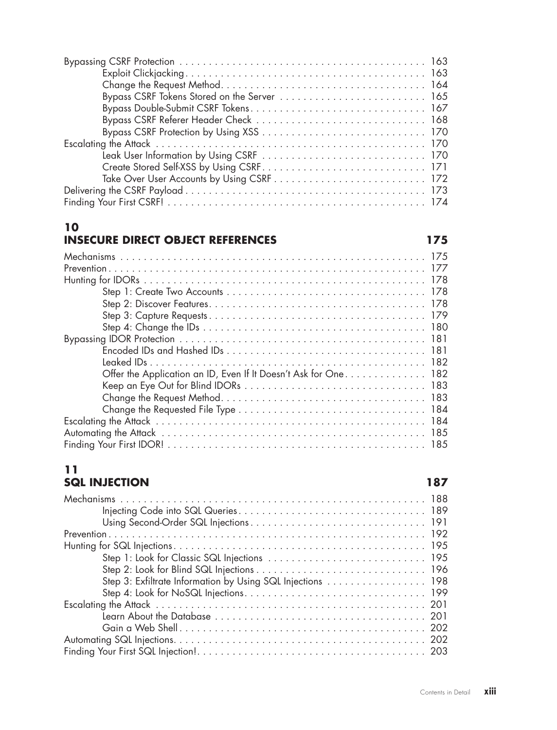| Contents in Detail XIII |  |
|-------------------------|--|

Bypassing CSRF Protection . . . . . . . . . . . . . . . . . . . . . . . . . . . . . . . . . . . . . . . . . . 163

Exploit Clickjacking . . . . . . . . . . . . . . . . . . . . . . . . . . . . . . . . . . . . . . . . . 163 Change the Request Method . . . . . . . . . . . . . . . . . . . . . . . . . . . . . . . . . . . 164

### **10 INSECURE DIRECT OBJECT REFERENCES** 175

| Offer the Application an ID, Even If It Doesn't Ask for One. 182 |
|------------------------------------------------------------------|
|                                                                  |
|                                                                  |
|                                                                  |
|                                                                  |
|                                                                  |
|                                                                  |

## **11 SQL INJECTION 187**

| Step 3: Exfiltrate Information by Using SQL Injections  198 |
|-------------------------------------------------------------|
|                                                             |
|                                                             |
|                                                             |
|                                                             |
|                                                             |
|                                                             |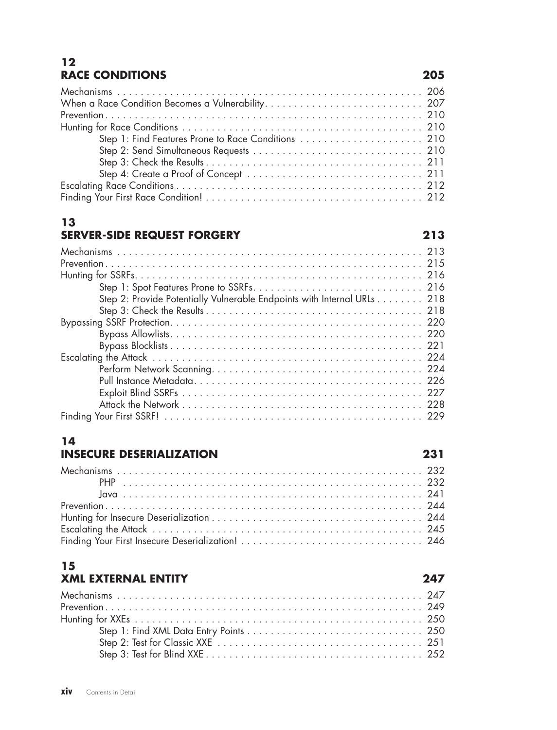## **12 RACE CONDITIONS 205**

| Step 1: Find Features Prone to Race Conditions  210 |  |
|-----------------------------------------------------|--|
|                                                     |  |
|                                                     |  |
|                                                     |  |
|                                                     |  |
|                                                     |  |

# **13**

## **SERVER-SIDE REQUEST FORGERY 213**

| Step 2: Provide Potentially Vulnerable Endpoints with Internal URLs 218 |
|-------------------------------------------------------------------------|
|                                                                         |
|                                                                         |
|                                                                         |
|                                                                         |
|                                                                         |
|                                                                         |
|                                                                         |
|                                                                         |
|                                                                         |
|                                                                         |

# **14**

# **INSECURE DESERIALIZATION 231**

### **15 XML EXTERNAL ENTITY 247**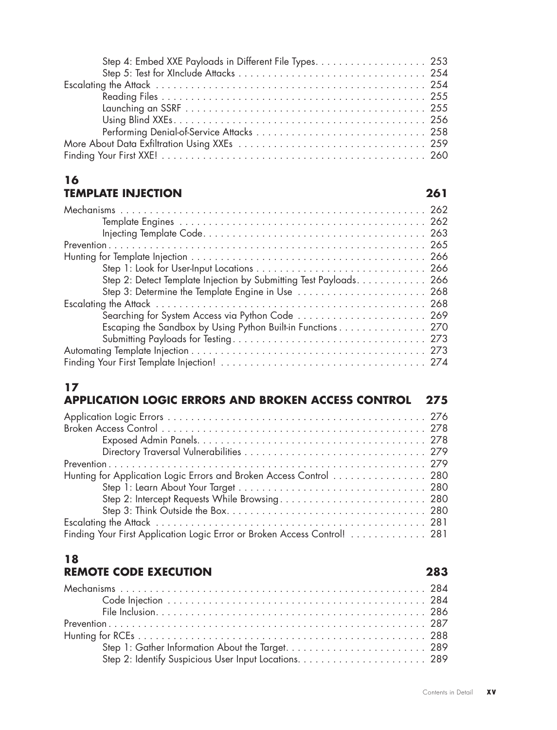| Step 4: Embed XXE Payloads in Different File Types. 253 |  |
|---------------------------------------------------------|--|
|                                                         |  |
|                                                         |  |
|                                                         |  |
|                                                         |  |
|                                                         |  |
|                                                         |  |
|                                                         |  |
|                                                         |  |

### **16 TEMPLATE INJECTION 261**

| Step 2: Detect Template Injection by Submitting Test Payloads 266 |
|-------------------------------------------------------------------|
| Step 3: Determine the Template Engine in Use  268                 |
|                                                                   |
| Searching for System Access via Python Code  269                  |
| Escaping the Sandbox by Using Python Built-in Functions 270       |
|                                                                   |
|                                                                   |
|                                                                   |

# **17**

| APPLICATION LOGIC ERRORS AND BROKEN ACCESS CONTROL<br>275                |  |
|--------------------------------------------------------------------------|--|
|                                                                          |  |
|                                                                          |  |
|                                                                          |  |
|                                                                          |  |
|                                                                          |  |
| Hunting for Application Logic Errors and Broken Access Control  280      |  |
|                                                                          |  |
|                                                                          |  |
|                                                                          |  |
|                                                                          |  |
| Finding Your First Application Logic Error or Broken Access Control! 281 |  |

### **18 REMOTE CODE EXECUTION 283**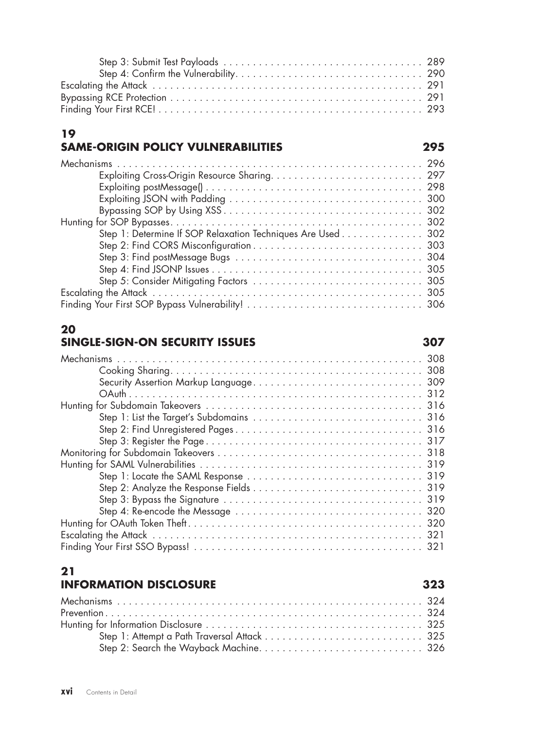## **19 SAME-ORIGIN POLICY VULNERABILITIES 295**

| Step 1: Determine If SOP Relaxation Techniques Are Used 302 |  |
|-------------------------------------------------------------|--|
|                                                             |  |
|                                                             |  |
|                                                             |  |
|                                                             |  |
|                                                             |  |
|                                                             |  |

# **20**

## **SINGLE-SIGN-ON SECURITY ISSUES 307**

| 318 |
|-----|
|     |
|     |
|     |
|     |
|     |
|     |
|     |
|     |

### **21 INFORMATION DISCLOSURE 323**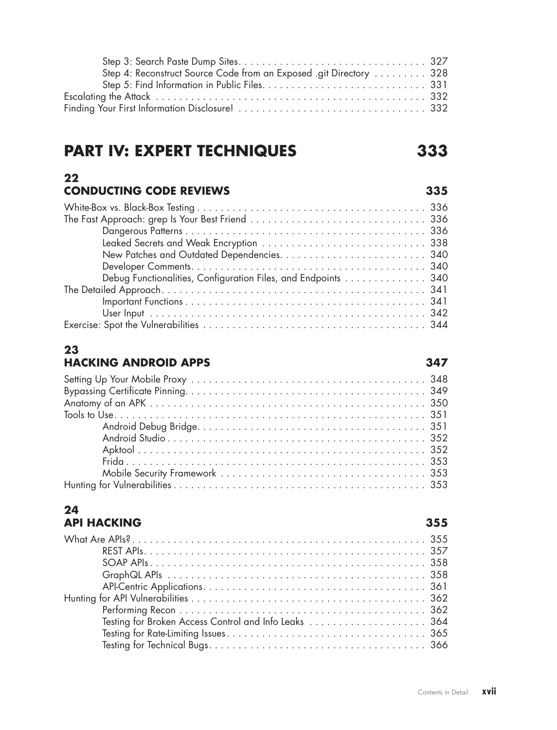### Step 3: Search Paste Dump Sites . . . . . . . . . . . . . . . . . . . . . . . . . . . . . . . . 327 Step 4: Reconstruct Source Code from an Exposed .git Directory . . . . . . . . . 328 Step 5: Find Information in Public Files . . . . . . . . . . . . . . . . . . . . . . . . . . . . 331 Escalating the Attack . . . . . . . . . . . . . . . . . . . . . . . . . . . . . . . . . . . . . . . . . . . . . . 332 Finding Your First Information Disclosure! . . . . . . . . . . . . . . . . . . . . . . . . . . . . . . . . 332

# **PART IV: EXPERT TECHNIQUES 333**

### **22 CONDUCTING CODE REVIEWS 335**

| Debug Functionalities, Configuration Files, and Endpoints  340 |  |
|----------------------------------------------------------------|--|
|                                                                |  |
|                                                                |  |
|                                                                |  |
|                                                                |  |

### **23 HACKING ANDROID APPS 347**

### **24 API HACKING 355**